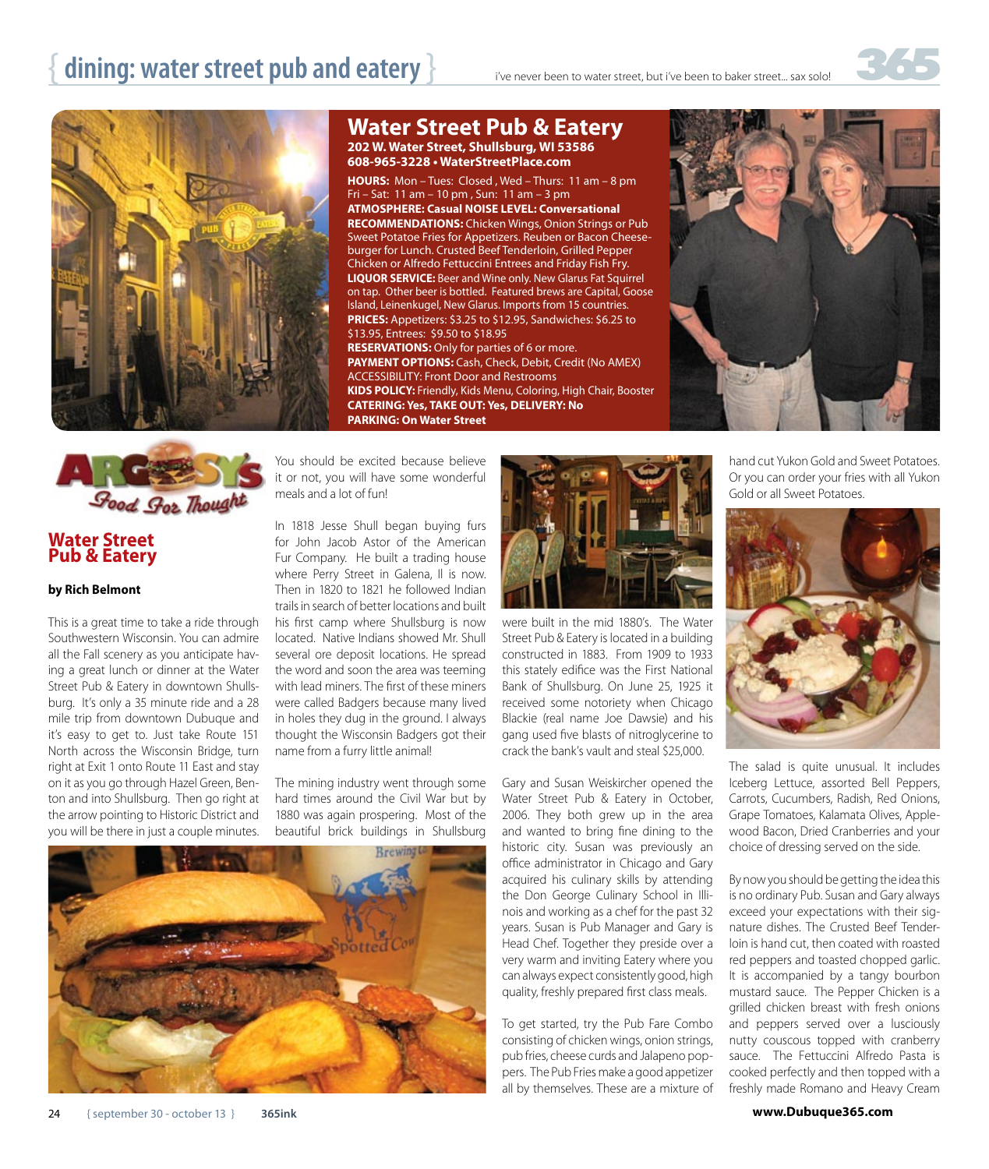## **dining: water street pub and eatery }** if the never been to water street, but i've been to baker street... sax solo!







### **Water Street Pub & Eatery**

#### **by Rich Belmont**

This is a great time to take a ride through Southwestern Wisconsin. You can admire all the Fall scenery as you anticipate having a great lunch or dinner at the Water Street Pub & Eatery in downtown Shullsburg. It's only a 35 minute ride and a 28 mile trip from downtown Dubuque and it's easy to get to. Just take Route 151 North across the Wisconsin Bridge, turn right at Exit 1 onto Route 11 East and stay on it as you go through Hazel Green, Benton and into Shullsburg. Then go right at the arrow pointing to Historic District and you will be there in just a couple minutes.

You should be excited because believe it or not, you will have some wonderful meals and a lot of fun!

**Water Street Pub & Eatery 202 W. Water Street, Shullsburg, WI 53586 608-965-3228 • WaterStreetPlace.com**

**HOURS:** Mon – Tues: Closed , Wed – Thurs: 11 am – 8 pm

**ATMOSPHERE: Casual NOISE LEVEL: Conversational RECOMMENDATIONS:** Chicken Wings, Onion Strings or Pub Sweet Potatoe Fries for Appetizers. Reuben or Bacon Cheeseburger for Lunch. Crusted Beef Tenderloin, Grilled Pepper Chicken or Alfredo Fettuccini Entrees and Friday Fish Fry. **LIQUOR SERVICE:** Beer and Wine only. New Glarus Fat Squirrel

Island, Leinenkugel, New Glarus. Imports from 15 countries. **PRICES:** Appetizers: \$3.25 to \$12.95, Sandwiches: \$6.25 to

**PAYMENT OPTIONS:** Cash, Check, Debit, Credit (No AMEX)

Fri – Sat: 11 am – 10 pm , Sun: 11 am – 3 pm

**RESERVATIONS:** Only for parties of 6 or more.

**CATERING: Yes, TAKE OUT: Yes, DELIVERY: No** 

ACCESSIBILITY: Front Door and Restrooms

\$13.95, Entrees: \$9.50 to \$18.95

**PARKING: On Water Street**

In 1818 Jesse Shull began buying furs for John Jacob Astor of the American Fur Company. He built a trading house where Perry Street in Galena, Il is now. Then in 1820 to 1821 he followed Indian trails in search of better locations and built his first camp where Shullsburg is now located. Native Indians showed Mr. Shull several ore deposit locations. He spread the word and soon the area was teeming with lead miners. The first of these miners were called Badgers because many lived in holes they dug in the ground. I always thought the Wisconsin Badgers got their name from a furry little animal!

The mining industry went through some hard times around the Civil War but by 1880 was again prospering. Most of the beautiful brick buildings in Shullsburg





were built in the mid 1880's. The Water Street Pub & Eatery is located in a building constructed in 1883. From 1909 to 1933 this stately edifice was the First National Bank of Shullsburg. On June 25, 1925 it received some notoriety when Chicago Blackie (real name Joe Dawsie) and his gang used five blasts of nitroglycerine to crack the bank's vault and steal \$25,000.

Gary and Susan Weiskircher opened the Water Street Pub & Eatery in October, 2006. They both grew up in the area and wanted to bring fine dining to the historic city. Susan was previously an office administrator in Chicago and Gary acquired his culinary skills by attending the Don George Culinary School in Illinois and working as a chef for the past 32 years. Susan is Pub Manager and Gary is Head Chef. Together they preside over a very warm and inviting Eatery where you can always expect consistently good, high quality, freshly prepared first class meals.

To get started, try the Pub Fare Combo consisting of chicken wings, onion strings, pub fries, cheese curds and Jalapeno poppers. The Pub Fries make a good appetizer all by themselves. These are a mixture of



hand cut Yukon Gold and Sweet Potatoes. Or you can order your fries with all Yukon Gold or all Sweet Potatoes.



The salad is quite unusual. It includes Iceberg Lettuce, assorted Bell Peppers, Carrots, Cucumbers, Radish, Red Onions, Grape Tomatoes, Kalamata Olives, Applewood Bacon, Dried Cranberries and your choice of dressing served on the side.

By now you should be getting the idea this is no ordinary Pub. Susan and Gary always exceed your expectations with their signature dishes. The Crusted Beef Tenderloin is hand cut, then coated with roasted red peppers and toasted chopped garlic. It is accompanied by a tangy bourbon mustard sauce. The Pepper Chicken is a grilled chicken breast with fresh onions and peppers served over a lusciously nutty couscous topped with cranberry sauce. The Fettuccini Alfredo Pasta is cooked perfectly and then topped with a freshly made Romano and Heavy Cream